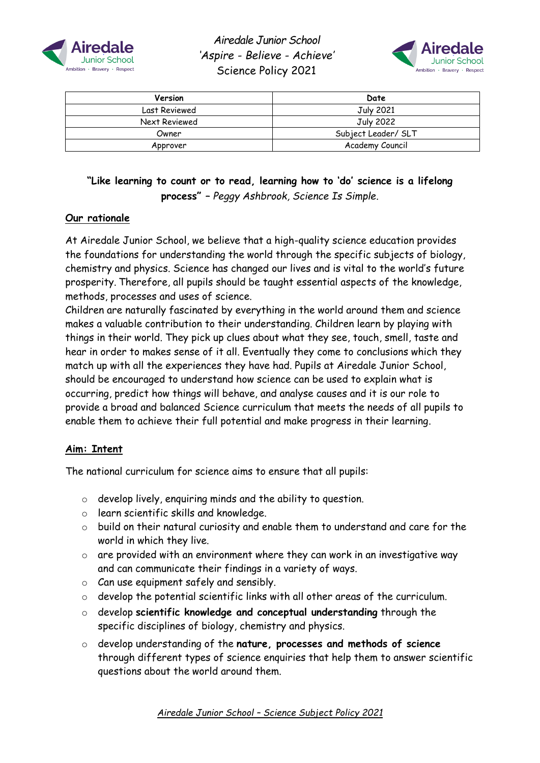



| Version       | Date                |  |  |
|---------------|---------------------|--|--|
| Last Reviewed | July 2021           |  |  |
| Next Reviewed | July 2022           |  |  |
| Owner         | Subject Leader/ SLT |  |  |
| Approver      | Academy Council     |  |  |

**"Like learning to count or to read, learning how to 'do' science is a lifelong process" –** *Peggy Ashbrook, Science Is Simple*.

## **Our rationale**

At Airedale Junior School, we believe that a high-quality science education provides the foundations for understanding the world through the specific subjects of biology, chemistry and physics. Science has changed our lives and is vital to the world's future prosperity. Therefore, all pupils should be taught essential aspects of the knowledge, methods, processes and uses of science.

Children are naturally fascinated by everything in the world around them and science makes a valuable contribution to their understanding. Children learn by playing with things in their world. They pick up clues about what they see, touch, smell, taste and hear in order to makes sense of it all. Eventually they come to conclusions which they match up with all the experiences they have had. Pupils at Airedale Junior School, should be encouraged to understand how science can be used to explain what is occurring, predict how things will behave, and analyse causes and it is our role to provide a broad and balanced Science curriculum that meets the needs of all pupils to enable them to achieve their full potential and make progress in their learning.

## **Aim: Intent**

The national curriculum for science aims to ensure that all pupils:

- o develop lively, enquiring minds and the ability to question.
- o learn scientific skills and knowledge.
- o build on their natural curiosity and enable them to understand and care for the world in which they live.
- $\circ$  are provided with an environment where they can work in an investigative way and can communicate their findings in a variety of ways.
- o Can use equipment safely and sensibly.
- o develop the potential scientific links with all other areas of the curriculum.
- o develop **scientific knowledge and conceptual understanding** through the specific disciplines of biology, chemistry and physics.
- o develop understanding of the **nature, processes and methods of science** through different types of science enquiries that help them to answer scientific questions about the world around them.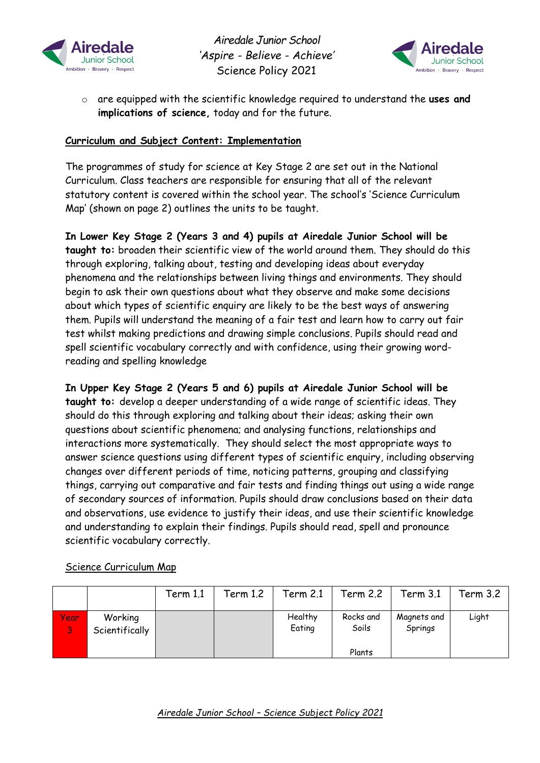



o are equipped with the scientific knowledge required to understand the **uses and implications of science,** today and for the future.

## **Curriculum and Subject Content: Implementation**

The programmes of study for science at Key Stage 2 are set out in the National Curriculum. Class teachers are responsible for ensuring that all of the relevant statutory content is covered within the school year. The school's 'Science Curriculum Map' (shown on page 2) outlines the units to be taught.

**In Lower Key Stage 2 (Years 3 and 4) pupils at Airedale Junior School will be taught to:** broaden their scientific view of the world around them. They should do this through exploring, talking about, testing and developing ideas about everyday phenomena and the relationships between living things and environments. They should begin to ask their own questions about what they observe and make some decisions about which types of scientific enquiry are likely to be the best ways of answering them. Pupils will understand the meaning of a fair test and learn how to carry out fair test whilst making predictions and drawing simple conclusions. Pupils should read and spell scientific vocabulary correctly and with confidence, using their growing wordreading and spelling knowledge

**In Upper Key Stage 2 (Years 5 and 6) pupils at Airedale Junior School will be taught to:** develop a deeper understanding of a wide range of scientific ideas. They should do this through exploring and talking about their ideas; asking their own questions about scientific phenomena; and analysing functions, relationships and interactions more systematically. They should select the most appropriate ways to answer science questions using different types of scientific enquiry, including observing changes over different periods of time, noticing patterns, grouping and classifying things, carrying out comparative and fair tests and finding things out using a wide range of secondary sources of information. Pupils should draw conclusions based on their data and observations, use evidence to justify their ideas, and use their scientific knowledge and understanding to explain their findings. Pupils should read, spell and pronounce scientific vocabulary correctly.

|                   |                           | Term 1.1 | Term 1.2 | Term 2.1          | <b>Term 2.2</b>    | Term 3.1               | <b>Term 3.2</b> |
|-------------------|---------------------------|----------|----------|-------------------|--------------------|------------------------|-----------------|
| <b>Year</b><br>Β, | Working<br>Scientifically |          |          | Healthy<br>Eating | Rocks and<br>Soils | Magnets and<br>Springs | Light           |
|                   |                           |          |          |                   | Plants             |                        |                 |

## Science Curriculum Map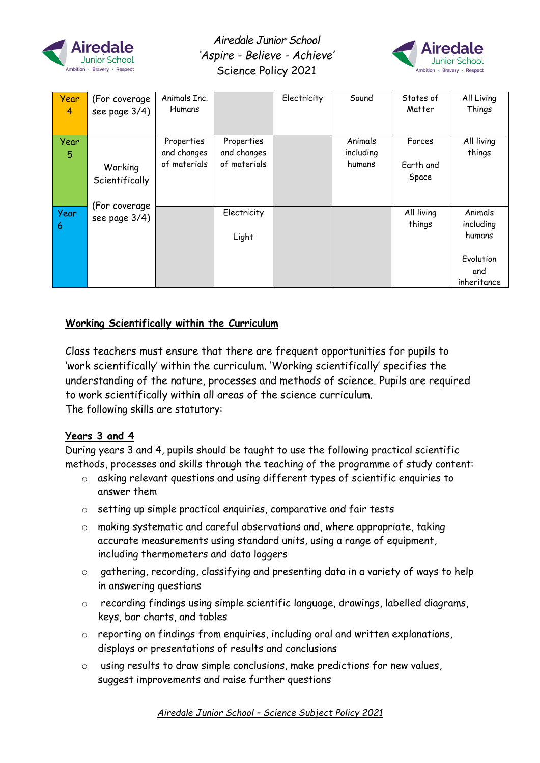



| Year<br>$\overline{4}$ | (For coverage<br>see page 3/4) | Animals Inc.<br><b>Humans</b>             |                                           | Electricity | Sound                          | States of<br>Matter          | All Living<br>Things                                              |
|------------------------|--------------------------------|-------------------------------------------|-------------------------------------------|-------------|--------------------------------|------------------------------|-------------------------------------------------------------------|
| Year<br>5              | Working<br>Scientifically      | Properties<br>and changes<br>of materials | Properties<br>and changes<br>of materials |             | Animals<br>including<br>humans | Forces<br>Earth and<br>Space | All living<br>things                                              |
| Year<br>$\overline{6}$ | (For coverage<br>see page 3/4) |                                           | Electricity<br>Light                      |             |                                | All living<br>things         | Animals<br>including<br>humans<br>Evolution<br>and<br>inheritance |

## **Working Scientifically within the Curriculum**

Class teachers must ensure that there are frequent opportunities for pupils to 'work scientifically' within the curriculum. 'Working scientifically' specifies the understanding of the nature, processes and methods of science. Pupils are required to work scientifically within all areas of the science curriculum. The following skills are statutory:

## **Years 3 and 4**

During years 3 and 4, pupils should be taught to use the following practical scientific methods, processes and skills through the teaching of the programme of study content:

- o asking relevant questions and using different types of scientific enquiries to answer them
- o setting up simple practical enquiries, comparative and fair tests
- o making systematic and careful observations and, where appropriate, taking accurate measurements using standard units, using a range of equipment, including thermometers and data loggers
- o gathering, recording, classifying and presenting data in a variety of ways to help in answering questions
- o recording findings using simple scientific language, drawings, labelled diagrams, keys, bar charts, and tables
- o reporting on findings from enquiries, including oral and written explanations, displays or presentations of results and conclusions
- o using results to draw simple conclusions, make predictions for new values, suggest improvements and raise further questions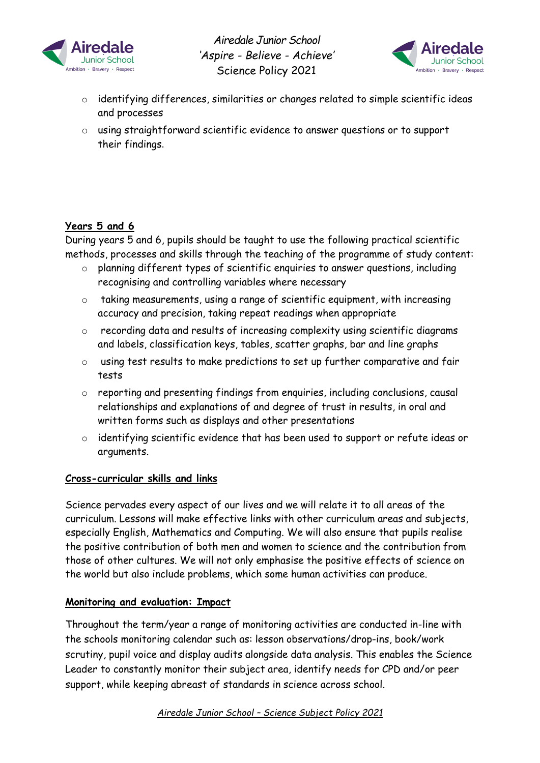



- o identifying differences, similarities or changes related to simple scientific ideas and processes
- o using straightforward scientific evidence to answer questions or to support their findings.

# **Years 5 and 6**

During years 5 and 6, pupils should be taught to use the following practical scientific methods, processes and skills through the teaching of the programme of study content:

- o planning different types of scientific enquiries to answer questions, including recognising and controlling variables where necessary
- o taking measurements, using a range of scientific equipment, with increasing accuracy and precision, taking repeat readings when appropriate
- o recording data and results of increasing complexity using scientific diagrams and labels, classification keys, tables, scatter graphs, bar and line graphs
- o using test results to make predictions to set up further comparative and fair tests
- o reporting and presenting findings from enquiries, including conclusions, causal relationships and explanations of and degree of trust in results, in oral and written forms such as displays and other presentations
- o identifying scientific evidence that has been used to support or refute ideas or arguments.

# **Cross-curricular skills and links**

Science pervades every aspect of our lives and we will relate it to all areas of the curriculum. Lessons will make effective links with other curriculum areas and subjects, especially English, Mathematics and Computing. We will also ensure that pupils realise the positive contribution of both men and women to science and the contribution from those of other cultures. We will not only emphasise the positive effects of science on the world but also include problems, which some human activities can produce.

# **Monitoring and evaluation: Impact**

Throughout the term/year a range of monitoring activities are conducted in-line with the schools monitoring calendar such as: lesson observations/drop-ins, book/work scrutiny, pupil voice and display audits alongside data analysis. This enables the Science Leader to constantly monitor their subject area, identify needs for CPD and/or peer support, while keeping abreast of standards in science across school.